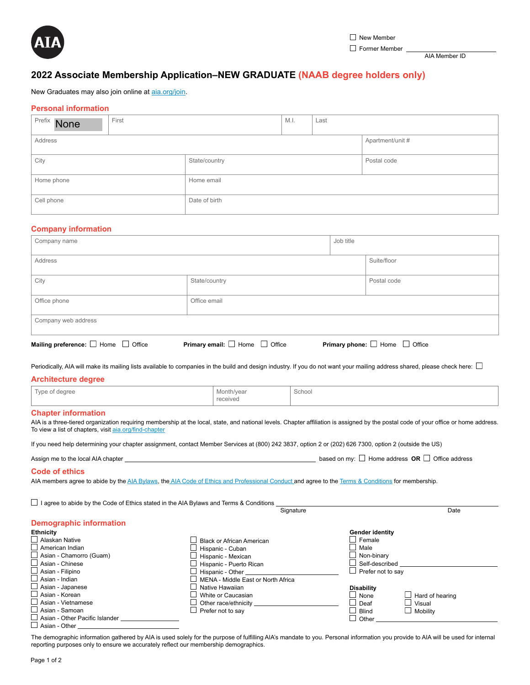

AIA Member ID

# **2022 Associate Membership Application–NEW GRADUATE (NAAB degree holders only)**

New Graduates may also join online at [aia.org/join](http://www.aia.org/join).

# **Personal information**

| Prefix None           | First |               | M.I. | Last        |                  |
|-----------------------|-------|---------------|------|-------------|------------------|
| Address               |       |               |      |             | Apartment/unit # |
| City<br>State/country |       |               |      | Postal code |                  |
| Home phone            |       | Home email    |      |             |                  |
| Cell phone            |       | Date of birth |      |             |                  |

## **Company information**

| Company name                                  |                                          |  | Job title                                |  |  |
|-----------------------------------------------|------------------------------------------|--|------------------------------------------|--|--|
| Address                                       |                                          |  | Suite/floor                              |  |  |
| City                                          | State/country                            |  | Postal code                              |  |  |
| Office phone                                  | Office email                             |  |                                          |  |  |
| Company web address                           |                                          |  |                                          |  |  |
| Mailing preference: $\Box$ Home $\Box$ Office | Primary email: $\Box$ Home $\Box$ Office |  | Primary phone: $\Box$ Home $\Box$ Office |  |  |

Periodically, AIA will make its mailing lists available to companies in the build and design industry. If you do not want your mailing address shared, please check here:  $\Box$ 

#### **Architecture degree**

| $\overline{\phantom{a}}$<br>Type<br>of dearee<br>$\sim$ | Month/vear    | School<br>_____ |
|---------------------------------------------------------|---------------|-----------------|
|                                                         | received<br>. |                 |

## **Chapter information**

AIA is a three-tiered organization requiring membership at the local, state, and national levels. Chapter affiliation is assigned by the postal code of your office or home address. To view a list of chapters, visit [aia.org/find-chapter](http://www.aia.org/find-chapter)

If you need help determining your chapter assignment, contact Member Services at (800) 242 3837, option 2 or (202) 626 7300, option 2 (outside the US)

| Assign me to the local AIA chapter | Home address $OR \Box$ Office address<br>based on my: I |
|------------------------------------|---------------------------------------------------------|
|------------------------------------|---------------------------------------------------------|

#### **Code of ethics**

AIA members agree to abide by the [AIA Bylaws](https://content.aia.org/sites/default/files/2021-06/AIA_Bylaws_June_2021.pdf), the [AIA Code of Ethics and Professional Conduct a](https://www.aia.org/pages/3296-code-of-ethics--professional-conduct)nd agree to the [Terms & Conditions](https://www.aia.org/pages/182576-terms-and-conditions) for membership.

 $\Box$  I agree to abide by the Code of Ethics stated in the AIA Bylaws and Terms & Conditions  $\Box$ Signature Date

# **Demographic information**

| <b>Ethnicity</b>                      |                                    | Gender identity   |                        |
|---------------------------------------|------------------------------------|-------------------|------------------------|
| $\Box$ Alaskan Native                 | Black or African American          | Female            |                        |
| $\Box$ American Indian                | Hispanic - Cuban                   | Male              |                        |
| $\Box$ Asian - Chamorro (Guam)        | Hispanic - Mexican                 | Non-binary        |                        |
| $\Box$ Asian - Chinese                | Hispanic - Puerto Rican            | Self-described    |                        |
| $\Box$ Asian - Filipino               | Hispanic - Other                   | Prefer not to say |                        |
| $\Box$ Asian - Indian                 | MENA - Middle East or North Africa |                   |                        |
| $\Box$ Asian - Japanese               | Native Hawaiian                    | <b>Disability</b> |                        |
| $\Box$ Asian - Korean                 | White or Caucasian                 | None              | $\Box$ Hard of hearing |
| $\Box$ Asian - Vietnamese             | Other race/ethnicity               | Deaf              | Visual                 |
| $\Box$ Asian - Samoan                 | $\Box$ Prefer not to say           | <b>Blind</b>      | $\Box$ Mobility        |
| $\Box$ Asian - Other Pacific Islander |                                    | Other             |                        |
| Asian - Other                         |                                    |                   |                        |

The demographic information gathered by AIA is used solely for the purpose of fulfilling AIA's mandate to you. Personal information you provide to AIA will be used for internal reporting purposes only to ensure we accurately reflect our membership demographics.